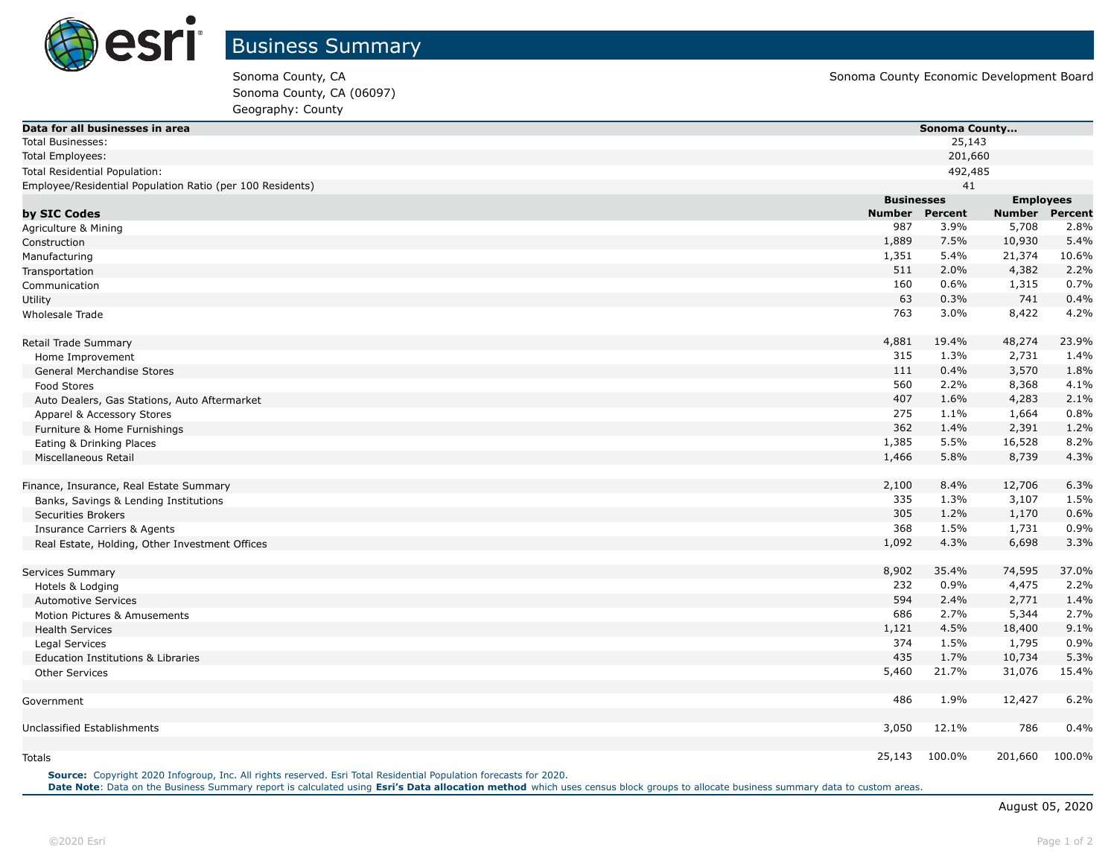

Sonoma County, CA (06097) Geography: County

| Data for all businesses in area                           |               | Sonoma County                         |                       |        |  |
|-----------------------------------------------------------|---------------|---------------------------------------|-----------------------|--------|--|
| <b>Total Businesses:</b>                                  |               | 25,143                                |                       |        |  |
| <b>Total Employees:</b>                                   | 201,660       |                                       |                       |        |  |
| Total Residential Population:                             |               | 492,485                               |                       |        |  |
| Employee/Residential Population Ratio (per 100 Residents) |               | 41                                    |                       |        |  |
|                                                           |               | <b>Businesses</b><br><b>Employees</b> |                       |        |  |
| by SIC Codes                                              | <b>Number</b> | Percent                               | <b>Number Percent</b> |        |  |
| Agriculture & Mining                                      | 987           | 3.9%                                  | 5,708                 | 2.8%   |  |
| Construction                                              | 1,889         | 7.5%                                  | 10,930                | 5.4%   |  |
| Manufacturing                                             | 1,351         | 5.4%                                  | 21,374                | 10.6%  |  |
| Transportation                                            | 511           | 2.0%                                  | 4,382                 | 2.2%   |  |
| Communication                                             | 160           | 0.6%                                  | 1,315                 | 0.7%   |  |
| Utility                                                   | 63            | 0.3%                                  | 741                   | 0.4%   |  |
| Wholesale Trade                                           | 763           | 3.0%                                  | 8,422                 | 4.2%   |  |
| Retail Trade Summary                                      | 4,881         | 19.4%                                 | 48,274                | 23.9%  |  |
| Home Improvement                                          | 315           | 1.3%                                  | 2,731                 | 1.4%   |  |
| General Merchandise Stores                                | 111           | 0.4%                                  | 3,570                 | 1.8%   |  |
| Food Stores                                               | 560           | 2.2%                                  | 8,368                 | 4.1%   |  |
| Auto Dealers, Gas Stations, Auto Aftermarket              | 407           | 1.6%                                  | 4,283                 | 2.1%   |  |
| Apparel & Accessory Stores                                | 275           | 1.1%                                  | 1,664                 | 0.8%   |  |
| Furniture & Home Furnishings                              | 362           | 1.4%                                  | 2,391                 | 1.2%   |  |
| Eating & Drinking Places                                  | 1,385         | 5.5%                                  | 16,528                | 8.2%   |  |
| Miscellaneous Retail                                      | 1,466         | 5.8%                                  | 8,739                 | 4.3%   |  |
| Finance, Insurance, Real Estate Summary                   | 2,100         | 8.4%                                  | 12,706                | 6.3%   |  |
| Banks, Savings & Lending Institutions                     | 335           | 1.3%                                  | 3,107                 | 1.5%   |  |
| <b>Securities Brokers</b>                                 | 305           | 1.2%                                  | 1,170                 | 0.6%   |  |
| <b>Insurance Carriers &amp; Agents</b>                    | 368           | 1.5%                                  | 1,731                 | 0.9%   |  |
| Real Estate, Holding, Other Investment Offices            | 1,092         | 4.3%                                  | 6,698                 | 3.3%   |  |
| Services Summary                                          | 8,902         | 35.4%                                 | 74,595                | 37.0%  |  |
| Hotels & Lodging                                          | 232           | 0.9%                                  | 4,475                 | 2.2%   |  |
| <b>Automotive Services</b>                                | 594           | 2.4%                                  | 2,771                 | 1.4%   |  |
| Motion Pictures & Amusements                              | 686           | 2.7%                                  | 5,344                 | 2.7%   |  |
| <b>Health Services</b>                                    | 1,121         | 4.5%                                  | 18,400                | 9.1%   |  |
| Legal Services                                            | 374           | 1.5%                                  | 1,795                 | 0.9%   |  |
| <b>Education Institutions &amp; Libraries</b>             | 435           | 1.7%                                  | 10,734                | 5.3%   |  |
| <b>Other Services</b>                                     | 5,460         | 21.7%                                 | 31,076                | 15.4%  |  |
|                                                           |               |                                       |                       |        |  |
| Government                                                | 486           | 1.9%                                  | 12,427                | 6.2%   |  |
| Unclassified Establishments                               | 3,050         | 12.1%                                 | 786                   | 0.4%   |  |
| <b>Totals</b>                                             | 25,143        | 100.0%                                | 201,660               | 100.0% |  |

**Source:** Copyright 2020 Infogroup, Inc. All rights reserved. Esri Total Residential Population forecasts for 2020.

Date Note: Data on the Business Summary report is calculated using [Esri's Data allocation method](http://doc.arcgis.com/en/esri-demographics/reference/data-allocation-method.htm) which uses census block groups to allocate business summary data to custom areas.